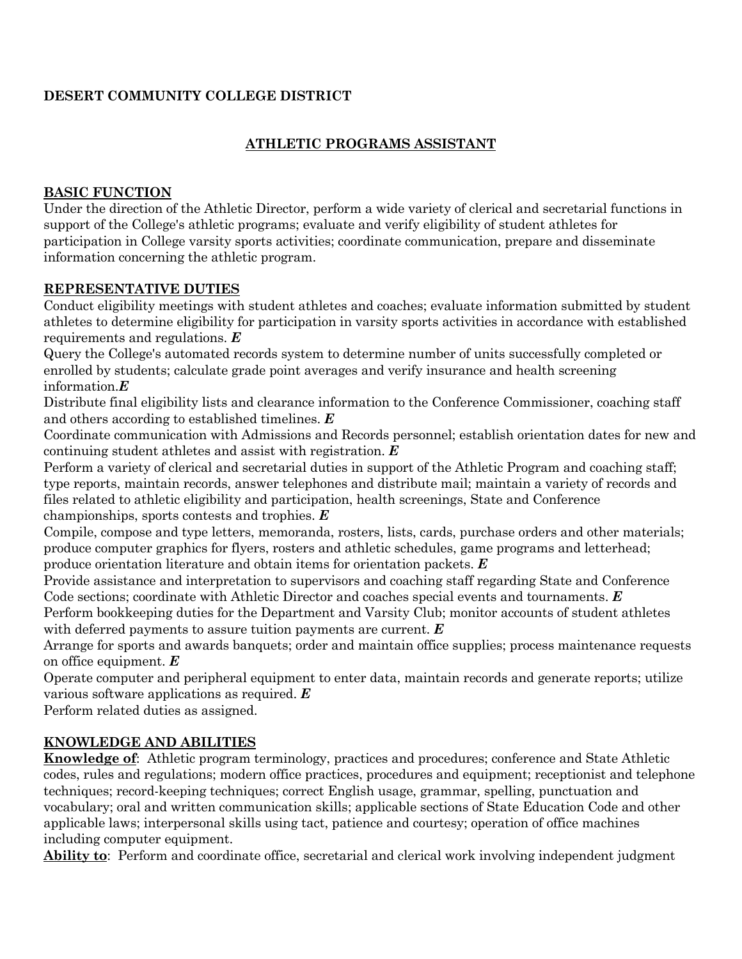# **DESERT COMMUNITY COLLEGE DISTRICT**

## **ATHLETIC PROGRAMS ASSISTANT**

#### **BASIC FUNCTION**

Under the direction of the Athletic Director, perform a wide variety of clerical and secretarial functions in support of the College's athletic programs; evaluate and verify eligibility of student athletes for participation in College varsity sports activities; coordinate communication, prepare and disseminate information concerning the athletic program.

#### **REPRESENTATIVE DUTIES**

Conduct eligibility meetings with student athletes and coaches; evaluate information submitted by student athletes to determine eligibility for participation in varsity sports activities in accordance with established requirements and regulations. *E*

Query the College's automated records system to determine number of units successfully completed or enrolled by students; calculate grade point averages and verify insurance and health screening information.*E*

Distribute final eligibility lists and clearance information to the Conference Commissioner, coaching staff and others according to established timelines. *E*

Coordinate communication with Admissions and Records personnel; establish orientation dates for new and continuing student athletes and assist with registration. *E*

Perform a variety of clerical and secretarial duties in support of the Athletic Program and coaching staff; type reports, maintain records, answer telephones and distribute mail; maintain a variety of records and files related to athletic eligibility and participation, health screenings, State and Conference championships, sports contests and trophies. *E*

Compile, compose and type letters, memoranda, rosters, lists, cards, purchase orders and other materials; produce computer graphics for flyers, rosters and athletic schedules, game programs and letterhead; produce orientation literature and obtain items for orientation packets. *E*

Provide assistance and interpretation to supervisors and coaching staff regarding State and Conference Code sections; coordinate with Athletic Director and coaches special events and tournaments. *E*

Perform bookkeeping duties for the Department and Varsity Club; monitor accounts of student athletes with deferred payments to assure tuition payments are current. *E*

Arrange for sports and awards banquets; order and maintain office supplies; process maintenance requests on office equipment. *E*

Operate computer and peripheral equipment to enter data, maintain records and generate reports; utilize various software applications as required. *E*

Perform related duties as assigned.

# **KNOWLEDGE AND ABILITIES**

**Knowledge of**: Athletic program terminology, practices and procedures; conference and State Athletic codes, rules and regulations; modern office practices, procedures and equipment; receptionist and telephone techniques; record-keeping techniques; correct English usage, grammar, spelling, punctuation and vocabulary; oral and written communication skills; applicable sections of State Education Code and other applicable laws; interpersonal skills using tact, patience and courtesy; operation of office machines including computer equipment.

**Ability to**: Perform and coordinate office, secretarial and clerical work involving independent judgment